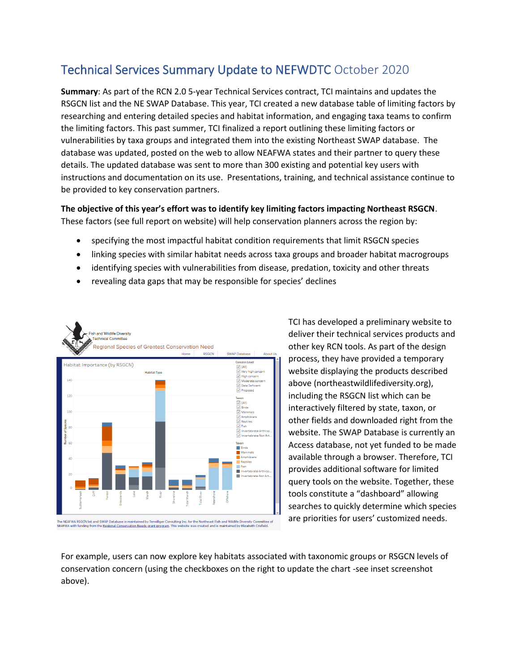## Technical Services Summary Update to NEFWDTC October 2020

**Summary**: As part of the RCN 2.0 5-year Technical Services contract, TCI maintains and updates the RSGCN list and the NE SWAP Database. This year, TCI created a new database table of limiting factors by researching and entering detailed species and habitat information, and engaging taxa teams to confirm the limiting factors. This past summer, TCI finalized a report outlining these limiting factors or vulnerabilities by taxa groups and integrated them into the existing Northeast SWAP database. The database was updated, posted on the web to allow NEAFWA states and their partner to query these details. The updated database was sent to more than 300 existing and potential key users with instructions and documentation on its use. Presentations, training, and technical assistance continue to be provided to key conservation partners.

## **The objective of this year's effort was to identify key limiting factors impacting Northeast RSGCN**. These factors (see full report on website) will help conservation planners across the region by:

- specifying the most impactful habitat condition requirements that limit RSGCN species
- linking species with similar habitat needs across taxa groups and broader habitat macrogroups
- identifying species with vulnerabilities from disease, predation, toxicity and other threats
- revealing data gaps that may be responsible for species' declines



TCI has developed a preliminary website to deliver their technical services products and other key RCN tools. As part of the design process, they have provided a temporary website displaying the products described above (northeastwildlifediversity.org), including the RSGCN list which can be interactively filtered by state, taxon, or other fields and downloaded right from the website. The SWAP Database is currently an Access database, not yet funded to be made available through a browser. Therefore, TCI provides additional software for limited query tools on the website. Together, these tools constitute a "dashboard" allowing searches to quickly determine which species are priorities for users' customized needs.

For example, users can now explore key habitats associated with taxonomic groups or RSGCN levels of conservation concern (using the checkboxes on the right to update the chart -see inset screenshot above).